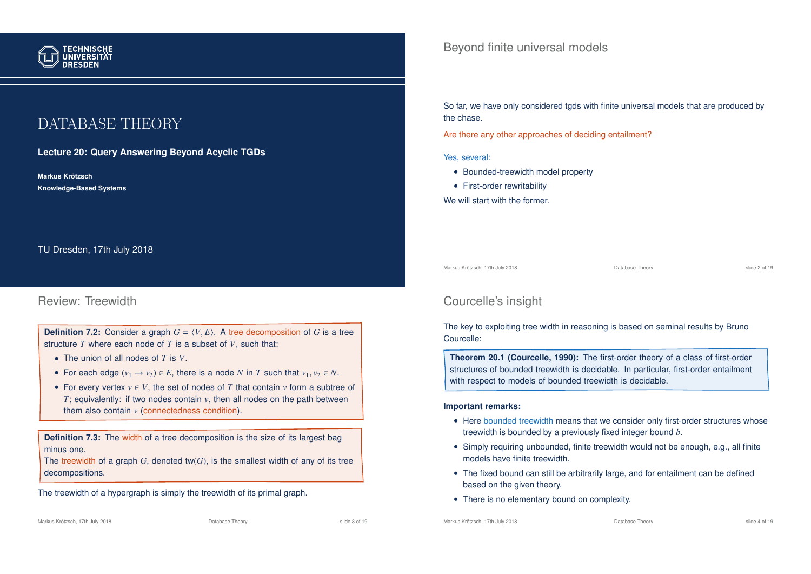

# DATABASE THEORY

**Lecture 20: Query Answering Beyond Acyclic TGDs**

**Markus Krotzsch ¨ Knowledge-Based Systems**

TU Dresden, 17th July 2018

### Review: Treewidth

**Definition 7.2:** Consider a graph  $G = \langle V, E \rangle$ . A tree decomposition of *G* is a tree structure *T* where each node of *T* is a subset of *V*, such that:

- The union of all nodes of *T* is *V*.
- For each edge  $(v_1 \rightarrow v_2) \in E$ , there is a node *N* in *T* such that  $v_1, v_2 \in N$ .
- For every vertex  $v \in V$ , the set of nodes of *T* that contain *v* form a subtree of *T*; equivalently: if two nodes contain *v*, then all nodes on the path between them also contain *v* (connectedness condition).

**Definition 7.3:** The width of a tree decomposition is the size of its largest bag minus one.

The treewidth of a graph *G*, denoted tw(*G*), is the smallest width of any of its tree decompositions.

The treewidth of a hypergraph is simply the treewidth of its primal graph.

Beyond finite universal models

So far, we have only considered tgds with finite universal models that are produced by the chase.

Are there any other approaches of deciding entailment?

Yes, several:

- Bounded-treewidth model property
- First-order rewritability
- We will start with the former.

Markus Krötzsch, 17th July 2018 Database Theory slide 2 of 19

## Courcelle's insight

The key to exploiting tree width in reasoning is based on seminal results by Bruno Courcelle:

**Theorem 20.1 (Courcelle, 1990):** The first-order theory of a class of first-order structures of bounded treewidth is decidable. In particular, first-order entailment with respect to models of bounded treewidth is decidable.

#### **Important remarks:**

- Here bounded treewidth means that we consider only first-order structures whose treewidth is bounded by a previously fixed integer bound *b*.
- Simply requiring unbounded, finite treewidth would not be enough, e.g., all finite models have finite treewidth.
- The fixed bound can still be arbitrarily large, and for entailment can be defined based on the given theory.
- There is no elementary bound on complexity.

Markus Krötzsch, 17th July 2018 Database Theory slide 3 of 19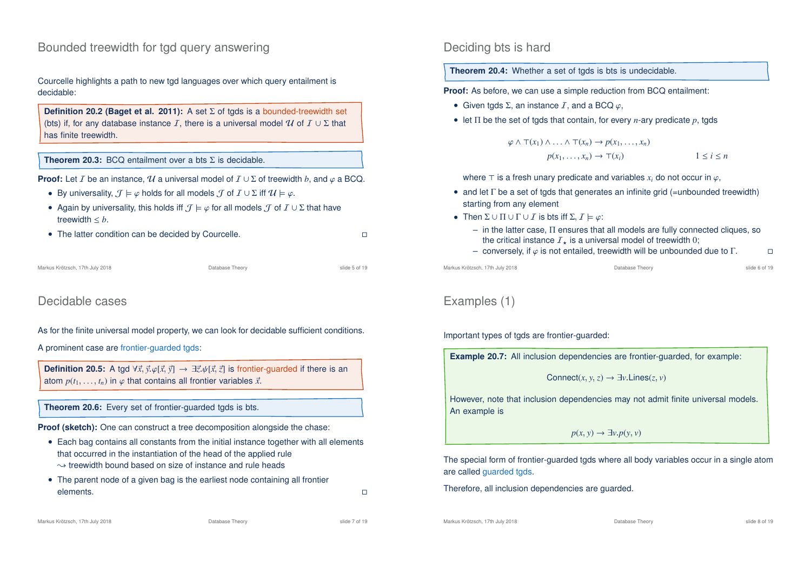### Bounded treewidth for tgd query answering

Courcelle highlights a path to new tgd languages over which query entailment is decidable:

```
Definition 20.2 (Baget et al. 2011): A set Σ of tgds is a bounded-treewidth set
(bts) if, for any database instance I, there is a universal model U of I \cup \Sigma that
has finite treewidth.
```
#### **Theorem 20.3:** BCQ entailment over a bts Σ is decidable.

**Proof:** Let *I* be an instance,  $U$  a universal model of  $I \cup \Sigma$  of treewidth *b*, and  $\varphi$  a BCQ.

- By universality,  $\mathcal{J} \models \varphi$  holds for all models  $\mathcal{J}$  of  $\mathcal{I} \cup \Sigma$  iff  $\mathcal{U} \models \varphi$ .
- Again by universality, this holds iff  $\mathcal{J} \models \varphi$  for all models  $\mathcal{J}$  of  $\mathcal{I} \cup \Sigma$  that have treewidth  $\leq b$ .
- The latter condition can be decided by Courcelle.

```
Markus Krötzsch, 17th July 2018 Database Theory slide 5 of 19
```
### Decidable cases

#### As for the finite universal model property, we can look for decidable sufficient conditions.

A prominent case are frontier-guarded tgds:

**Definition 20.5:** A tgd  $\forall \vec{x}, \vec{y} \cdot \varphi[\vec{x}, \vec{y}] \rightarrow \exists \vec{z}, \psi[\vec{x}, \vec{z}]$  is frontier-guarded if there is an atom  $p(t_1, \ldots, t_n)$  in  $\varphi$  that contains all frontier variables  $\vec{x}$ .

**Theorem 20.6:** Every set of frontier-guarded tgds is bts.

**Proof (sketch):** One can construct a tree decomposition alongside the chase:

- Each bag contains all constants from the initial instance together with all elements that occurred in the instantiation of the head of the applied rule  $\rightarrow$  treewidth bound based on size of instance and rule heads
- The parent node of a given bag is the earliest node containing all frontier  $\blacksquare$ elements.  $\blacksquare$

**Theorem 20.4:** Whether a set of tgds is bts is undecidable.

**Proof:** As before, we can use a simple reduction from BCQ entailment:

- Given tgds  $\Sigma$ , an instance  $I$ , and a BCQ  $\varphi$ ,
- let  $\Pi$  be the set of tgds that contain, for every *n*-ary predicate *p*, tgds

$$
\varphi \land \top(x_1) \land \ldots \land \top(x_n) \to p(x_1, \ldots, x_n)
$$

$$
p(x_1, \ldots, x_n) \to \top(x_i)
$$

$$
1 \le i \le n
$$

where  $\top$  is a fresh unary predicate and variables  $x_i$  do not occur in  $\varphi$ ,

- and let  $\Gamma$  be a set of tgds that generates an infinite grid (=unbounded treewidth) starting from any element
- Then  $\Sigma \cup \Pi \cup \Gamma \cup I$  is bts iff  $\Sigma, I \models \varphi$ :
	- in the latter case, Π ensures that all models are fully connected cliques, so the critical instance  $I_{\star}$  is a universal model of treewidth 0;
	- conversely, if  $\varphi$  is not entailed, treewidth will be unbounded due to  $\Gamma$ .

Markus Krötzsch, 17th July 2018 Database Theory slide 6 of 19

## Examples (1)

Important types of tgds are frontier-guarded:

| <b>Example 20.7:</b> All inclusion dependencies are frontier-quarded, for example: |  |  |  |  |  |  |  |  |  |  |
|------------------------------------------------------------------------------------|--|--|--|--|--|--|--|--|--|--|
| Connect $(x, y, z) \rightarrow \exists y$ Lines $(z, y)$                           |  |  |  |  |  |  |  |  |  |  |
|                                                                                    |  |  |  |  |  |  |  |  |  |  |

However, note that inclusion dependencies may not admit finite universal models. An example is

 $p(x, y) \rightarrow \exists y \cdot p(y, y)$ 

The special form of frontier-guarded tgds where all body variables occur in a single atom are called guarded tgds.

Therefore, all inclusion dependencies are guarded.

Markus Krötzsch, 17th July 2018 Database Theory slide 8 of 19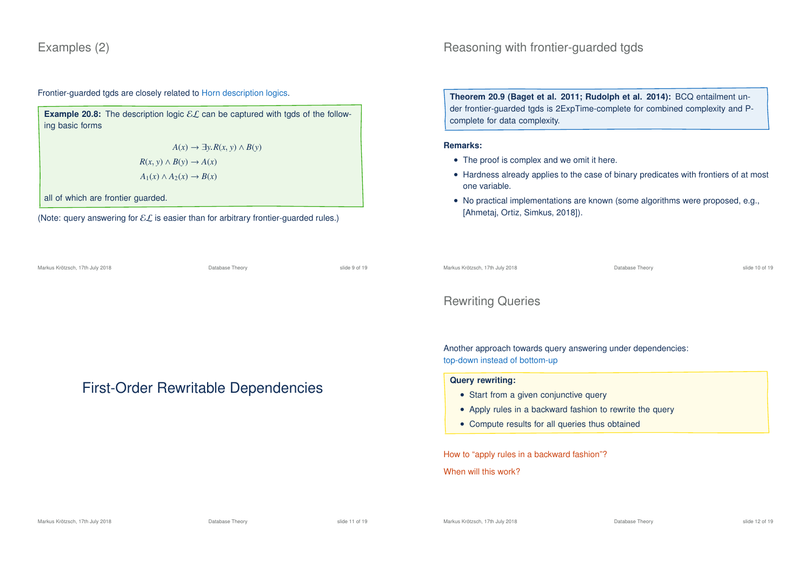### Examples (2)

Frontier-guarded tgds are closely related to Horn description logics.

**Example 20.8:** The description logic  $\mathcal{EL}$  can be captured with tgds of the following basic forms

> *A*(*x*) →  $\exists y.R(x, y) \land B(y)$  $R(x, y) \wedge B(y) \rightarrow A(x)$  $A_1(x) \land A_2(x) \rightarrow B(x)$

all of which are frontier guarded.

(Note: query answering for  $\mathcal{EL}$  is easier than for arbitrary frontier-guarded rules.)

Markus Krötzsch, 17th July 2018 Database Theory slide 9 of 19

First-Order Rewritable Dependencies

**Theorem 20.9 (Baget et al. 2011; Rudolph et al. 2014):** BCQ entailment under frontier-guarded tgds is 2ExpTime-complete for combined complexity and Pcomplete for data complexity.

#### **Remarks:**

- The proof is complex and we omit it here.
- Hardness already applies to the case of binary predicates with frontiers of at most one variable.
- No practical implementations are known (some algorithms were proposed, e.g., [Ahmetaj, Ortiz, Simkus, 2018]).

Markus Krötzsch, 17th July 2018 Database Theory slide 10 of 19

### Rewriting Queries

Another approach towards query answering under dependencies: top-down instead of bottom-up

#### **Query rewriting:**

- Start from a given conjunctive query
- Apply rules in a backward fashion to rewrite the query
- Compute results for all queries thus obtained

How to "apply rules in a backward fashion"?

When will this work?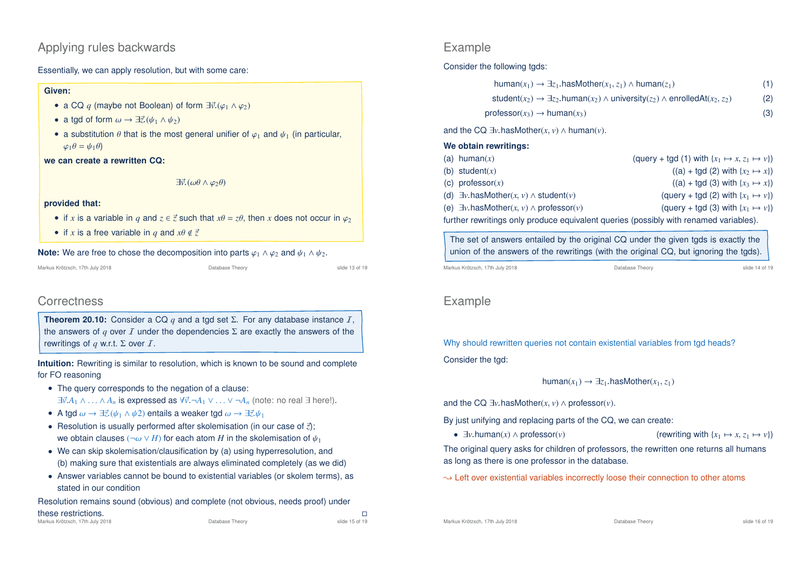### Applying rules backwards

Essentially, we can apply resolution, but with some care:

#### **Given:**

- a CQ q (maybe not Boolean) of form  $\exists \vec{v}.(\varphi_1 \wedge \varphi_2)$
- a tgd of form  $\omega \rightarrow \exists \vec{z}.(\psi_1 \wedge \psi_2)$
- a substitution  $\theta$  that is the most general unifier of  $\varphi_1$  and  $\psi_1$  (in particular,  $\varphi_1 \theta = \psi_1 \theta$

**we can create a rewritten CQ:**

 $\exists \vec{v}.(\omega\theta \wedge \varphi_2\theta)$ 

#### **provided that:**

- if x is a variable in q and  $z \in \vec{z}$  such that  $x\theta = z\theta$ , then x does not occur in  $\varphi_2$
- if *x* is a free variable in *q* and  $x\theta \notin \vec{z}$

#### **Note:** We are free to chose the decomposition into parts  $\varphi_1 \wedge \varphi_2$  and  $\psi_1 \wedge \psi_2$ .

Markus Krötzsch, 17th July 2018 Database Theory slide 13 of 19

### **Correctness**

**Theorem 20.10:** Consider a CQ  $q$  and a tgd set  $\Sigma$ . For any database instance  $I$ , the answers of  $q$  over  $I$  under the dependencies  $\Sigma$  are exactly the answers of the rewritings of *q* w.r.t. Σ over I.

**Intuition:** Rewriting is similar to resolution, which is known to be sound and complete for FO reasoning

- The query corresponds to the negation of a clause:  $\exists \vec{v}.A_1 \wedge \ldots \wedge A_n$  is expressed as  $\forall \vec{v}. \neg A_1 \vee \ldots \vee \neg A_n$  (note: no real  $\exists$  here!).
- A tgd  $\omega \to \exists \vec{z}.(\psi_1 \wedge \psi_2)$  entails a weaker tgd  $\omega \to \exists \vec{z}. \psi_1$
- Resolution is usually performed after skolemisation (in our case of  $\vec{z}$ ): we obtain clauses ( $\neg \omega \vee H$ ) for each atom *H* in the skolemisation of  $\psi_1$
- We can skip skolemisation/clausification by (a) using hyperresolution, and (b) making sure that existentials are always eliminated completely (as we did)
- Answer variables cannot be bound to existential variables (or skolem terms), as stated in our condition

Resolution remains sound (obvious) and complete (not obvious, needs proof) under

### Example

Consider the following tads:

| human(x <sub>1</sub> ) $\rightarrow \exists z_1$ hasMother(x <sub>1</sub> , z <sub>1</sub> ) $\land$ human(z <sub>1</sub> )                                        | (1) |
|--------------------------------------------------------------------------------------------------------------------------------------------------------------------|-----|
| student(x <sub>2</sub> ) $\rightarrow \exists z_2$ human(x <sub>2</sub> ) $\land$ university(z <sub>2</sub> ) $\land$ enrolledAt(x <sub>2</sub> , z <sub>2</sub> ) | (2) |
| $professor(x_3) \rightarrow human(x_3)$                                                                                                                            | (3) |

and the CQ  $\exists v$  hasMother(*x*, *v*)  $\land$  human(*v*).

| We obtain rewritings:                                      |                                                                                       |
|------------------------------------------------------------|---------------------------------------------------------------------------------------|
| (a) human $(x)$                                            | (query + tgd (1) with $\{x_1 \mapsto x, z_1 \mapsto v\}$ )                            |
| (b) student $(x)$                                          | $((a) + \text{tgd}(2) \text{ with } \{x_2 \mapsto x\})$                               |
| (c) professor $(x)$                                        | $((a) + \text{tgd}(3) \text{ with } \{x_3 \mapsto x\})$                               |
| (d) $\exists v \text{.hasMother}(x, v) \land student(v)$   | (query + tgd (2) with $\{x_1 \mapsto v\}$ )                                           |
| (e) $\exists v$ has Mother $(x, v) \wedge$ professor $(v)$ | (query + tgd (3) with $\{x_1 \mapsto v\}$ )                                           |
|                                                            | further rewritings only produce equivalent queries (possibly with renamed variables). |

The set of answers entailed by the original CQ under the given tgds is exactly the union of the answers of the rewritings (with the original CQ, but ignoring the tgds).

Markus Krötzsch, 17th July 2018 Database Theory slide 14 of 19

## Example

Why should rewritten queries not contain existential variables from tgd heads? Consider the tgd:

#### $human(x_1) \rightarrow \exists z_1 \text{.}$ hasMother( $x_1, z_1$ )

and the CQ  $\exists v$  hasMother(*x*, *v*)  $\land$  professor(*v*).

By just unifying and replacing parts of the CQ, we can create:

•  $\exists v \cdot \text{human}(x) \land \text{professor}(v)$  (rewriting with  $\{x_1 \mapsto x, z_1 \mapsto v\}$ )

The original query asks for children of professors, the rewritten one returns all humans as long as there is one professor in the database.

 $\rightarrow$  Left over existential variables incorrectly loose their connection to other atoms

Markus Krötzsch, 17th July 2018 Database Theory slide 16 of 19